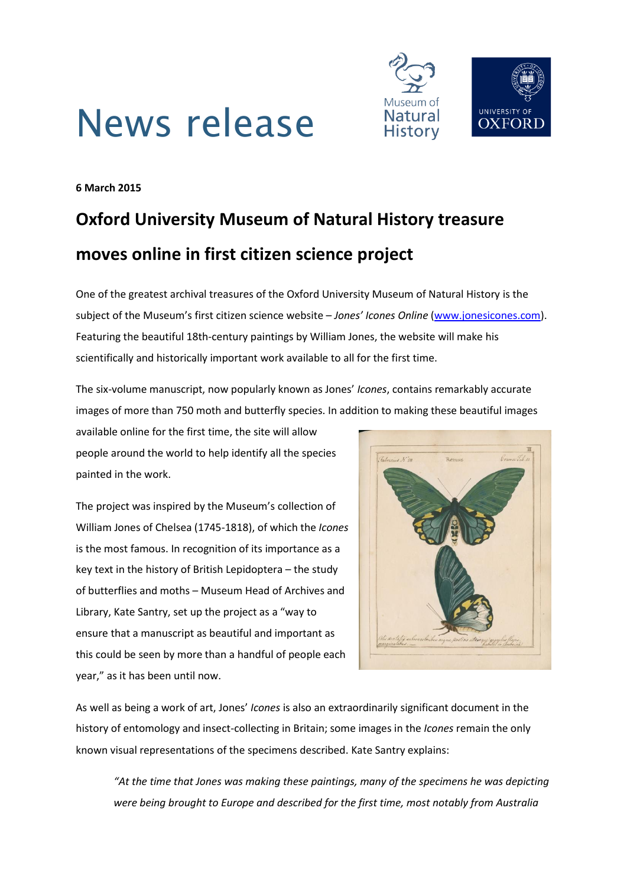



**6 March 2015**

# **Oxford University Museum of Natural History treasure moves online in first citizen science project**

One of the greatest archival treasures of the Oxford University Museum of Natural History is the subject of the Museum's first citizen science website – *Jones' Icones Online* [\(www.jonesicones.com\)](file:///C:/Users/Scott/Google%20Drive/MNH/Press%20releases/www.jonesicones.com). Featuring the beautiful 18th-century paintings by William Jones, the website will make his scientifically and historically important work available to all for the first time.

The six-volume manuscript, now popularly known as Jones' *Icones*, contains remarkably accurate images of more than 750 moth and butterfly species. In addition to making these beautiful images

available online for the first time, the site will allow people around the world to help identify all the species painted in the work.

The project was inspired by the Museum's collection of William Jones of Chelsea (1745-1818), of which the *Icones* is the most famous. In recognition of its importance as a key text in the history of British Lepidoptera – the study of butterflies and moths – Museum Head of Archives and Library, Kate Santry, set up the project as a "way to ensure that a manuscript as beautiful and important as this could be seen by more than a handful of people each year," as it has been until now.



As well as being a work of art, Jones' *Icones* is also an extraordinarily significant document in the history of entomology and insect-collecting in Britain; some images in the *Icones* remain the only known visual representations of the specimens described. Kate Santry explains:

*"At the time that Jones was making these paintings, many of the specimens he was depicting were being brought to Europe and described for the first time, most notably from Australia*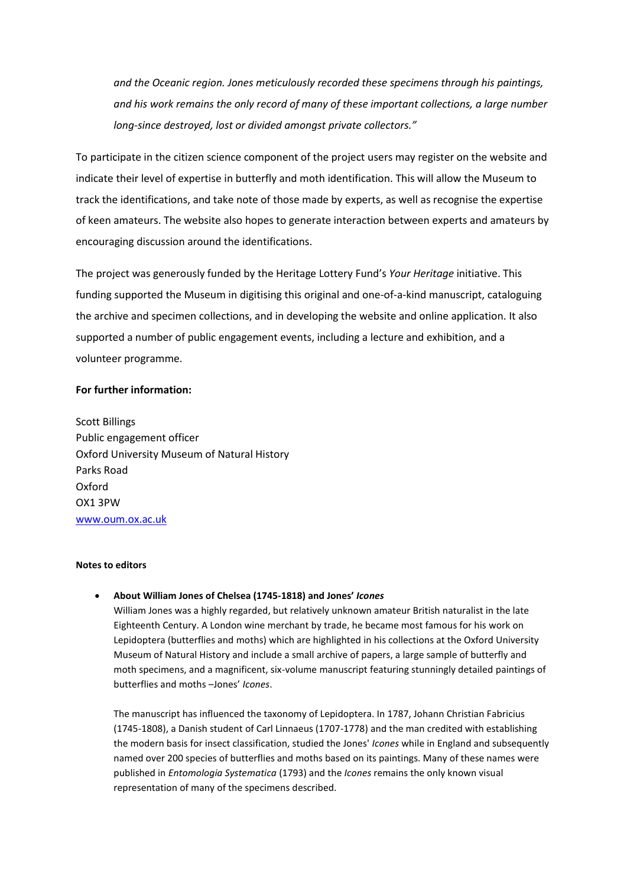*and the Oceanic region. Jones meticulously recorded these specimens through his paintings, and his work remains the only record of many of these important collections, a large number long-since destroyed, lost or divided amongst private collectors."*

To participate in the citizen science component of the project users may register on the website and indicate their level of expertise in butterfly and moth identification. This will allow the Museum to track the identifications, and take note of those made by experts, as well as recognise the expertise of keen amateurs. The website also hopes to generate interaction between experts and amateurs by encouraging discussion around the identifications.

The project was generously funded by the Heritage Lottery Fund's *Your Heritage* initiative. This funding supported the Museum in digitising this original and one-of-a-kind manuscript, cataloguing the archive and specimen collections, and in developing the website and online application. It also supported a number of public engagement events, including a lecture and exhibition, and a volunteer programme.

#### **For further information:**

Scott Billings Public engagement officer Oxford University Museum of Natural History Parks Road Oxford OX1 3PW [www.oum.ox.ac.uk](http://www.oum.ox.ac.uk/)

### **Notes to editors**

#### **About William Jones of Chelsea (1745-1818) and Jones'** *Icones*

William Jones was a highly regarded, but relatively unknown amateur British naturalist in the late Eighteenth Century. A London wine merchant by trade, he became most famous for his work on Lepidoptera (butterflies and moths) which are highlighted in his collections at the Oxford University Museum of Natural History and include a small archive of papers, a large sample of butterfly and moth specimens, and a magnificent, six-volume manuscript featuring stunningly detailed paintings of butterflies and moths –Jones' *Icones*.

The manuscript has influenced the taxonomy of Lepidoptera. In 1787, Johann Christian Fabricius (1745-1808), a Danish student of Carl Linnaeus (1707-1778) and the man credited with establishing the modern basis for insect classification, studied the Jones' *Icones* while in England and subsequently named over 200 species of butterflies and moths based on its paintings. Many of these names were published in *Entomologia Systematica* (1793) and the *Icones* remains the only known visual representation of many of the specimens described.